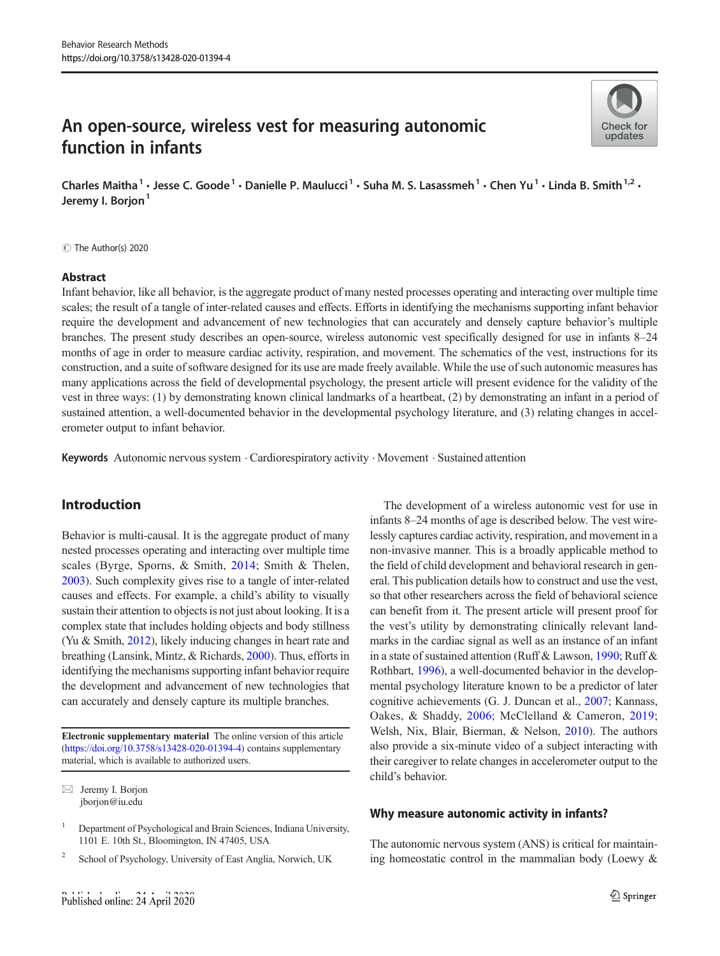# An open-source, wireless vest for measuring autonomic function in infants



Charles Maitha<sup>1</sup> · Jesse C. Goode<sup>1</sup> · Danielle P. Maulucci<sup>1</sup> · Suha M. S. Lasassmeh<sup>1</sup> · Chen Yu<sup>1</sup> · Linda B. Smith<sup>1,2</sup> · Jeremy I. Borjon<sup>1</sup>

 $\circledcirc$  The Author(s) 2020

#### Abstract

Infant behavior, like all behavior, is the aggregate product of many nested processes operating and interacting over multiple time scales; the result of a tangle of inter-related causes and effects. Efforts in identifying the mechanisms supporting infant behavior require the development and advancement of new technologies that can accurately and densely capture behavior's multiple branches. The present study describes an open-source, wireless autonomic vest specifically designed for use in infants 8–24 months of age in order to measure cardiac activity, respiration, and movement. The schematics of the vest, instructions for its construction, and a suite of software designed for its use are made freely available. While the use of such autonomic measures has many applications across the field of developmental psychology, the present article will present evidence for the validity of the vest in three ways: (1) by demonstrating known clinical landmarks of a heartbeat, (2) by demonstrating an infant in a period of sustained attention, a well-documented behavior in the developmental psychology literature, and (3) relating changes in accelerometer output to infant behavior.

Keywords Autonomic nervous system . Cardiorespiratory activity . Movement . Sustained attention

# Introduction

Behavior is multi-causal. It is the aggregate product of many nested processes operating and interacting over multiple time scales (Byrge, Sporns, & Smith, [2014;](#page-11-0) Smith & Thelen, [2003\)](#page-13-0). Such complexity gives rise to a tangle of inter-related causes and effects. For example, a child's ability to visually sustain their attention to objects is not just about looking. It is a complex state that includes holding objects and body stillness (Yu & Smith, [2012\)](#page-13-0), likely inducing changes in heart rate and breathing (Lansink, Mintz, & Richards, [2000](#page-12-0)). Thus, efforts in identifying the mechanisms supporting infant behavior require the development and advancement of new technologies that can accurately and densely capture its multiple branches.

Electronic supplementary material The online version of this article ([https://doi.org/10.3758/s13428-020-01394-4\)](https://doi.org/10.3758/s13428-020-01394-4) contains supplementary material, which is available to authorized users.

The development of a wireless autonomic vest for use in infants 8–24 months of age is described below. The vest wirelessly captures cardiac activity, respiration, and movement in a non-invasive manner. This is a broadly applicable method to the field of child development and behavioral research in general. This publication details how to construct and use the vest, so that other researchers across the field of behavioral science can benefit from it. The present article will present proof for the vest's utility by demonstrating clinically relevant landmarks in the cardiac signal as well as an instance of an infant in a state of sustained attention (Ruff & Lawson, [1990](#page-13-0); Ruff & Rothbart, [1996\)](#page-13-0), a well-documented behavior in the developmental psychology literature known to be a predictor of later cognitive achievements (G. J. Duncan et al., [2007](#page-11-0); Kannass, Oakes, & Shaddy, [2006;](#page-12-0) McClelland & Cameron, [2019;](#page-12-0) Welsh, Nix, Blair, Bierman, & Nelson, [2010](#page-13-0)). The authors also provide a six-minute video of a subject interacting with their caregiver to relate changes in accelerometer output to the child's behavior.

## Why measure autonomic activity in infants?

The autonomic nervous system (ANS) is critical for maintaining homeostatic control in the mammalian body (Loewy &

 $\boxtimes$  Jeremy I. Borjon [jborjon@iu.edu](mailto:jborjon@iu.edu)

<sup>&</sup>lt;sup>1</sup> Department of Psychological and Brain Sciences, Indiana University, 1101 E. 10th St., Bloomington, IN 47405, USA

<sup>&</sup>lt;sup>2</sup> School of Psychology, University of East Anglia, Norwich, UK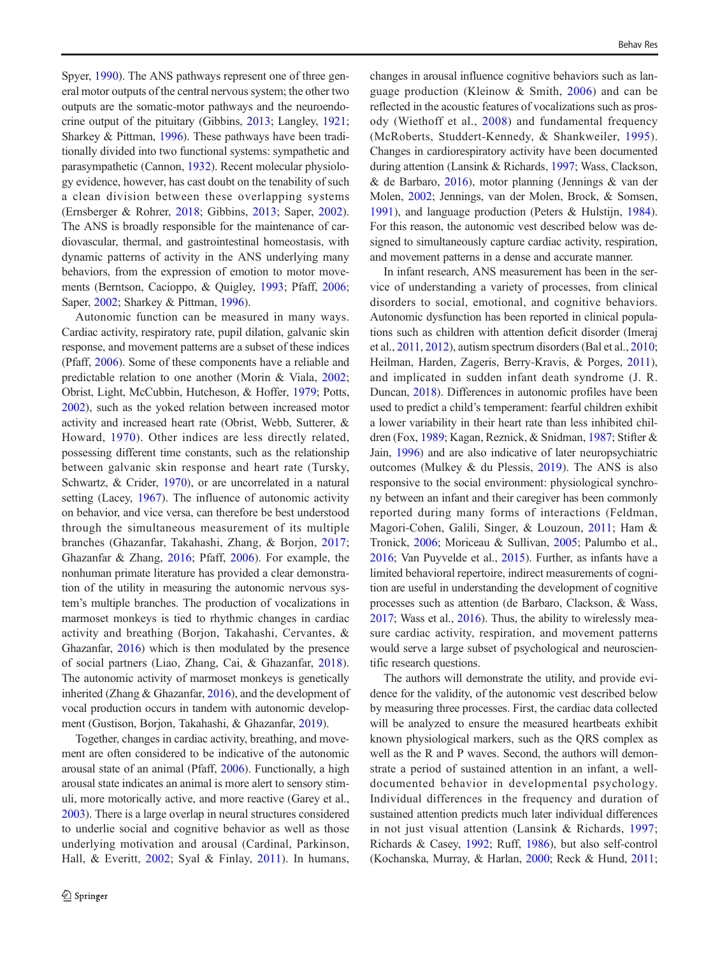Spyer, [1990\)](#page-12-0). The ANS pathways represent one of three general motor outputs of the central nervous system; the other two outputs are the somatic-motor pathways and the neuroendocrine output of the pituitary (Gibbins, [2013;](#page-12-0) Langley, [1921](#page-12-0); Sharkey & Pittman, [1996](#page-13-0)). These pathways have been traditionally divided into two functional systems: sympathetic and parasympathetic (Cannon, [1932](#page-11-0)). Recent molecular physiology evidence, however, has cast doubt on the tenability of such a clean division between these overlapping systems (Ernsberger & Rohrer, [2018](#page-11-0); Gibbins, [2013;](#page-12-0) Saper, [2002](#page-13-0)). The ANS is broadly responsible for the maintenance of cardiovascular, thermal, and gastrointestinal homeostasis, with dynamic patterns of activity in the ANS underlying many behaviors, from the expression of emotion to motor movements (Berntson, Cacioppo, & Quigley, [1993;](#page-11-0) Pfaff, [2006](#page-13-0); Saper, [2002](#page-13-0); Sharkey & Pittman, [1996\)](#page-13-0).

Autonomic function can be measured in many ways. Cardiac activity, respiratory rate, pupil dilation, galvanic skin response, and movement patterns are a subset of these indices (Pfaff, [2006\)](#page-13-0). Some of these components have a reliable and predictable relation to one another (Morin & Viala, [2002](#page-12-0); Obrist, Light, McCubbin, Hutcheson, & Hoffer, [1979;](#page-12-0) Potts, [2002\)](#page-13-0), such as the yoked relation between increased motor activity and increased heart rate (Obrist, Webb, Sutterer, & Howard, [1970\)](#page-12-0). Other indices are less directly related, possessing different time constants, such as the relationship between galvanic skin response and heart rate (Tursky, Schwartz, & Crider, [1970\)](#page-13-0), or are uncorrelated in a natural setting (Lacey, [1967\)](#page-12-0). The influence of autonomic activity on behavior, and vice versa, can therefore be best understood through the simultaneous measurement of its multiple branches (Ghazanfar, Takahashi, Zhang, & Borjon, [2017](#page-12-0); Ghazanfar & Zhang, [2016;](#page-12-0) Pfaff, [2006\)](#page-13-0). For example, the nonhuman primate literature has provided a clear demonstration of the utility in measuring the autonomic nervous system's multiple branches. The production of vocalizations in marmoset monkeys is tied to rhythmic changes in cardiac activity and breathing (Borjon, Takahashi, Cervantes, & Ghazanfar, [2016\)](#page-11-0) which is then modulated by the presence of social partners (Liao, Zhang, Cai, & Ghazanfar, [2018](#page-12-0)). The autonomic activity of marmoset monkeys is genetically inherited (Zhang & Ghazanfar, [2016](#page-13-0)), and the development of vocal production occurs in tandem with autonomic development (Gustison, Borjon, Takahashi, & Ghazanfar, [2019\)](#page-12-0).

Together, changes in cardiac activity, breathing, and movement are often considered to be indicative of the autonomic arousal state of an animal (Pfaff, [2006](#page-13-0)). Functionally, a high arousal state indicates an animal is more alert to sensory stimuli, more motorically active, and more reactive (Garey et al., [2003\)](#page-12-0). There is a large overlap in neural structures considered to underlie social and cognitive behavior as well as those underlying motivation and arousal (Cardinal, Parkinson, Hall, & Everitt, [2002;](#page-11-0) Syal & Finlay, [2011](#page-13-0)). In humans, changes in arousal influence cognitive behaviors such as language production (Kleinow & Smith, [2006](#page-12-0)) and can be reflected in the acoustic features of vocalizations such as prosody (Wiethoff et al., [2008](#page-13-0)) and fundamental frequency (McRoberts, Studdert-Kennedy, & Shankweiler, [1995](#page-12-0)). Changes in cardiorespiratory activity have been documented during attention (Lansink & Richards, [1997](#page-12-0); Wass, Clackson, & de Barbaro, [2016](#page-13-0)), motor planning (Jennings & van der Molen, [2002](#page-12-0); Jennings, van der Molen, Brock, & Somsen, [1991\)](#page-12-0), and language production (Peters & Hulstijn, [1984\)](#page-12-0). For this reason, the autonomic vest described below was designed to simultaneously capture cardiac activity, respiration, and movement patterns in a dense and accurate manner.

In infant research, ANS measurement has been in the service of understanding a variety of processes, from clinical disorders to social, emotional, and cognitive behaviors. Autonomic dysfunction has been reported in clinical populations such as children with attention deficit disorder (Imeraj et al., [2011,](#page-12-0) [2012\)](#page-12-0), autism spectrum disorders (Bal et al., [2010;](#page-11-0) Heilman, Harden, Zageris, Berry-Kravis, & Porges, [2011\)](#page-12-0), and implicated in sudden infant death syndrome (J. R. Duncan, [2018](#page-11-0)). Differences in autonomic profiles have been used to predict a child's temperament: fearful children exhibit a lower variability in their heart rate than less inhibited children (Fox, [1989;](#page-12-0) Kagan, Reznick, & Snidman, [1987](#page-12-0); Stifter & Jain, [1996](#page-13-0)) and are also indicative of later neuropsychiatric outcomes (Mulkey & du Plessis, [2019](#page-12-0)). The ANS is also responsive to the social environment: physiological synchrony between an infant and their caregiver has been commonly reported during many forms of interactions (Feldman, Magori-Cohen, Galili, Singer, & Louzoun, [2011;](#page-11-0) Ham & Tronick, [2006;](#page-12-0) Moriceau & Sullivan, [2005;](#page-12-0) Palumbo et al., [2016;](#page-12-0) Van Puyvelde et al., [2015\)](#page-13-0). Further, as infants have a limited behavioral repertoire, indirect measurements of cognition are useful in understanding the development of cognitive processes such as attention (de Barbaro, Clackson, & Wass, [2017;](#page-11-0) Wass et al., [2016\)](#page-13-0). Thus, the ability to wirelessly measure cardiac activity, respiration, and movement patterns would serve a large subset of psychological and neuroscientific research questions.

The authors will demonstrate the utility, and provide evidence for the validity, of the autonomic vest described below by measuring three processes. First, the cardiac data collected will be analyzed to ensure the measured heartbeats exhibit known physiological markers, such as the QRS complex as well as the R and P waves. Second, the authors will demonstrate a period of sustained attention in an infant, a welldocumented behavior in developmental psychology. Individual differences in the frequency and duration of sustained attention predicts much later individual differences in not just visual attention (Lansink & Richards, [1997;](#page-12-0) Richards & Casey, [1992;](#page-13-0) Ruff, [1986\)](#page-13-0), but also self-control (Kochanska, Murray, & Harlan, [2000;](#page-12-0) Reck & Hund, [2011;](#page-13-0)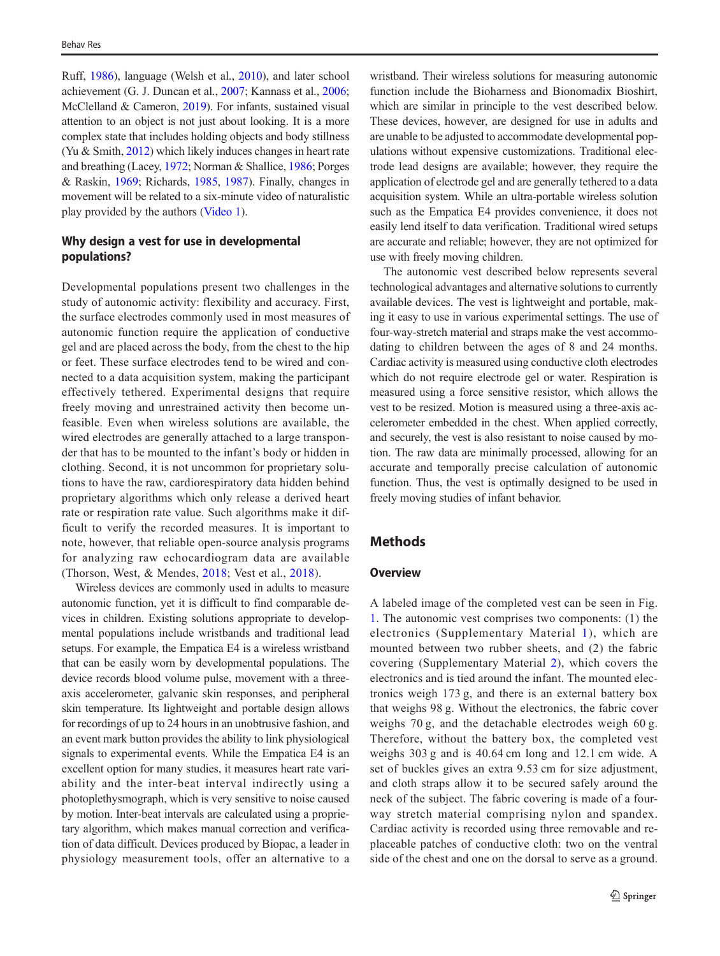Ruff, [1986\)](#page-13-0), language (Welsh et al., [2010\)](#page-13-0), and later school achievement (G. J. Duncan et al., [2007;](#page-11-0) Kannass et al., [2006](#page-12-0); McClelland & Cameron, [2019\)](#page-12-0). For infants, sustained visual attention to an object is not just about looking. It is a more complex state that includes holding objects and body stillness (Yu & Smith, [2012\)](#page-13-0) which likely induces changes in heart rate and breathing (Lacey, [1972](#page-12-0); Norman & Shallice, [1986](#page-12-0); Porges & Raskin, [1969](#page-13-0); Richards, [1985](#page-13-0), [1987\)](#page-13-0). Finally, changes in movement will be related to a six-minute video of naturalistic play provided by the authors (Video 1).

# Why design a vest for use in developmental populations?

Developmental populations present two challenges in the study of autonomic activity: flexibility and accuracy. First, the surface electrodes commonly used in most measures of autonomic function require the application of conductive gel and are placed across the body, from the chest to the hip or feet. These surface electrodes tend to be wired and connected to a data acquisition system, making the participant effectively tethered. Experimental designs that require freely moving and unrestrained activity then become unfeasible. Even when wireless solutions are available, the wired electrodes are generally attached to a large transponder that has to be mounted to the infant's body or hidden in clothing. Second, it is not uncommon for proprietary solutions to have the raw, cardiorespiratory data hidden behind proprietary algorithms which only release a derived heart rate or respiration rate value. Such algorithms make it difficult to verify the recorded measures. It is important to note, however, that reliable open-source analysis programs for analyzing raw echocardiogram data are available (Thorson, West, & Mendes, [2018;](#page-13-0) Vest et al., [2018](#page-13-0)).

Wireless devices are commonly used in adults to measure autonomic function, yet it is difficult to find comparable devices in children. Existing solutions appropriate to developmental populations include wristbands and traditional lead setups. For example, the Empatica E4 is a wireless wristband that can be easily worn by developmental populations. The device records blood volume pulse, movement with a threeaxis accelerometer, galvanic skin responses, and peripheral skin temperature. Its lightweight and portable design allows for recordings of up to 24 hours in an unobtrusive fashion, and an event mark button provides the ability to link physiological signals to experimental events. While the Empatica E4 is an excellent option for many studies, it measures heart rate variability and the inter-beat interval indirectly using a photoplethysmograph, which is very sensitive to noise caused by motion. Inter-beat intervals are calculated using a proprietary algorithm, which makes manual correction and verification of data difficult. Devices produced by Biopac, a leader in physiology measurement tools, offer an alternative to a

wristband. Their wireless solutions for measuring autonomic function include the Bioharness and Bionomadix Bioshirt, which are similar in principle to the vest described below. These devices, however, are designed for use in adults and are unable to be adjusted to accommodate developmental populations without expensive customizations. Traditional electrode lead designs are available; however, they require the application of electrode gel and are generally tethered to a data acquisition system. While an ultra-portable wireless solution such as the Empatica E4 provides convenience, it does not easily lend itself to data verification. Traditional wired setups are accurate and reliable; however, they are not optimized for use with freely moving children.

The autonomic vest described below represents several technological advantages and alternative solutions to currently available devices. The vest is lightweight and portable, making it easy to use in various experimental settings. The use of four-way-stretch material and straps make the vest accommodating to children between the ages of 8 and 24 months. Cardiac activity is measured using conductive cloth electrodes which do not require electrode gel or water. Respiration is measured using a force sensitive resistor, which allows the vest to be resized. Motion is measured using a three-axis accelerometer embedded in the chest. When applied correctly, and securely, the vest is also resistant to noise caused by motion. The raw data are minimally processed, allowing for an accurate and temporally precise calculation of autonomic function. Thus, the vest is optimally designed to be used in freely moving studies of infant behavior.

# **Methods**

#### **Overview**

A labeled image of the completed vest can be seen in Fig. [1](#page-3-0). The autonomic vest comprises two components: (1) the electronics (Supplementary Material 1), which are mounted between two rubber sheets, and (2) the fabric covering (Supplementary Material 2), which covers the electronics and is tied around the infant. The mounted electronics weigh 173 g, and there is an external battery box that weighs 98 g. Without the electronics, the fabric cover weighs 70 g, and the detachable electrodes weigh 60 g. Therefore, without the battery box, the completed vest weighs 303 g and is 40.64 cm long and 12.1 cm wide. A set of buckles gives an extra 9.53 cm for size adjustment, and cloth straps allow it to be secured safely around the neck of the subject. The fabric covering is made of a fourway stretch material comprising nylon and spandex. Cardiac activity is recorded using three removable and replaceable patches of conductive cloth: two on the ventral side of the chest and one on the dorsal to serve as a ground.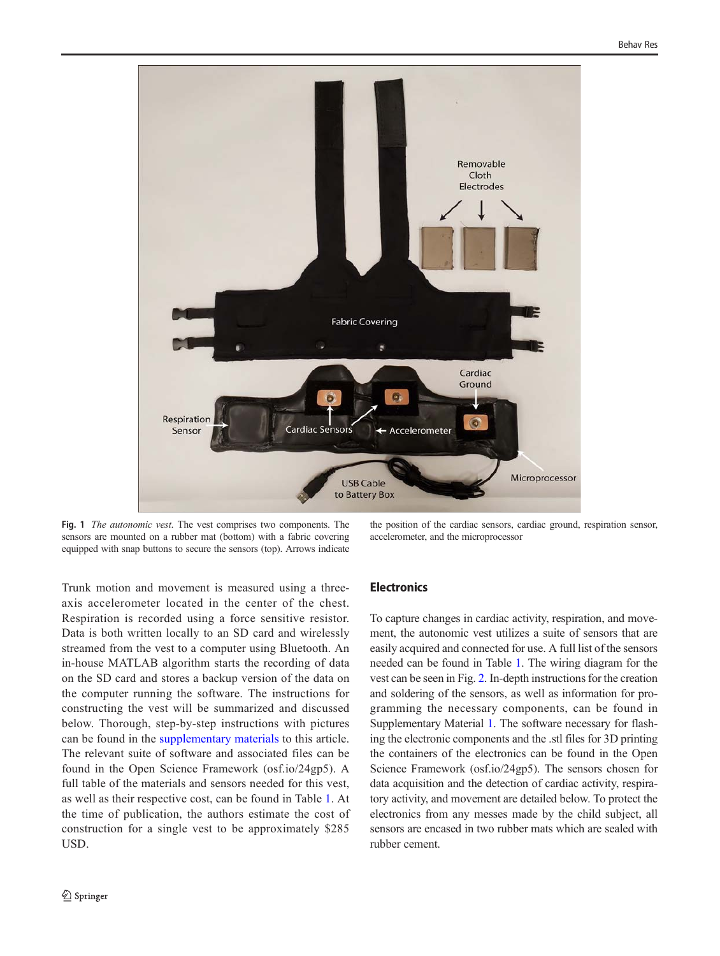<span id="page-3-0"></span>

Fig. 1 The autonomic vest. The vest comprises two components. The sensors are mounted on a rubber mat (bottom) with a fabric covering equipped with snap buttons to secure the sensors (top). Arrows indicate

the position of the cardiac sensors, cardiac ground, respiration sensor, accelerometer, and the microprocessor

Trunk motion and movement is measured using a threeaxis accelerometer located in the center of the chest. Respiration is recorded using a force sensitive resistor. Data is both written locally to an SD card and wirelessly streamed from the vest to a computer using Bluetooth. An in-house MATLAB algorithm starts the recording of data on the SD card and stores a backup version of the data on the computer running the software. The instructions for constructing the vest will be summarized and discussed below. Thorough, step-by-step instructions with pictures can be found in the supplementary materials to this article. The relevant suite of software and associated files can be found in the Open Science Framework (osf.io/24gp5). A full table of the materials and sensors needed for this vest, as well as their respective cost, can be found in Table [1.](#page-4-0) At the time of publication, the authors estimate the cost of construction for a single vest to be approximately \$285 USD.

# **Electronics**

To capture changes in cardiac activity, respiration, and movement, the autonomic vest utilizes a suite of sensors that are easily acquired and connected for use. A full list of the sensors needed can be found in Table [1](#page-4-0). The wiring diagram for the vest can be seen in Fig. [2.](#page-5-0) In-depth instructions for the creation and soldering of the sensors, as well as information for programming the necessary components, can be found in Supplementary Material 1. The software necessary for flashing the electronic components and the .stl files for 3D printing the containers of the electronics can be found in the Open Science Framework (osf.io/24gp5). The sensors chosen for data acquisition and the detection of cardiac activity, respiratory activity, and movement are detailed below. To protect the electronics from any messes made by the child subject, all sensors are encased in two rubber mats which are sealed with rubber cement.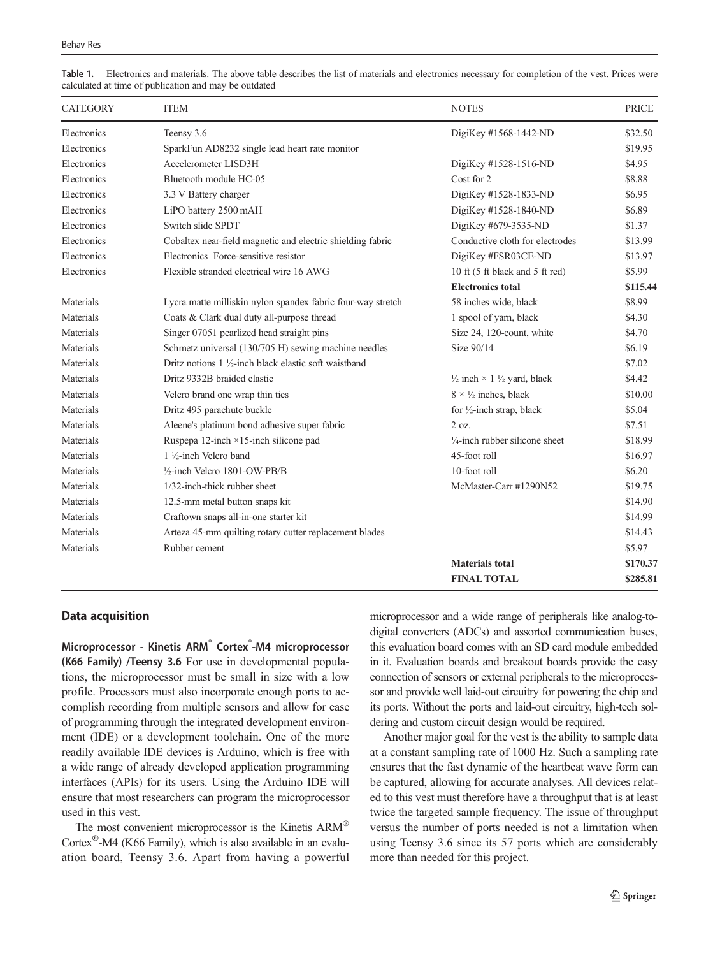| <b>CATEGORY</b> | <b>ITEM</b>                                                     | <b>NOTES</b>                                            | PRICE    |
|-----------------|-----------------------------------------------------------------|---------------------------------------------------------|----------|
| Electronics     | Teensy 3.6                                                      | DigiKey #1568-1442-ND                                   | \$32.50  |
| Electronics     | SparkFun AD8232 single lead heart rate monitor                  |                                                         | \$19.95  |
| Electronics     | Accelerometer LISD3H                                            | DigiKey #1528-1516-ND                                   | \$4.95   |
| Electronics     | Bluetooth module HC-05                                          | Cost for 2                                              | \$8.88   |
| Electronics     | 3.3 V Battery charger                                           | DigiKey #1528-1833-ND                                   | \$6.95   |
| Electronics     | LiPO battery 2500 mAH                                           | DigiKey #1528-1840-ND                                   | \$6.89   |
| Electronics     | Switch slide SPDT                                               | DigiKey #679-3535-ND                                    | \$1.37   |
| Electronics     | Cobaltex near-field magnetic and electric shielding fabric      | Conductive cloth for electrodes                         | \$13.99  |
| Electronics     | Electronics Force-sensitive resistor                            | DigiKey #FSR03CE-ND                                     | \$13.97  |
| Electronics     | Flexible stranded electrical wire 16 AWG                        | 10 ft (5 ft black and 5 ft red)                         | \$5.99   |
|                 |                                                                 | <b>Electronics total</b>                                | \$115.44 |
| Materials       | Lycra matte milliskin nylon spandex fabric four-way stretch     | 58 inches wide, black                                   | \$8.99   |
| Materials       | Coats & Clark dual duty all-purpose thread                      | 1 spool of yarn, black                                  | \$4.30   |
| Materials       | Singer 07051 pearlized head straight pins                       | Size 24, 120-count, white                               | \$4.70   |
| Materials       | Schmetz universal (130/705 H) sewing machine needles            | Size 90/14                                              | \$6.19   |
| Materials       | Dritz notions $1\frac{1}{2}$ -inch black elastic soft waistband |                                                         | \$7.02   |
| Materials       | Dritz 9332B braided elastic                                     | $\frac{1}{2}$ inch $\times$ 1 $\frac{1}{2}$ yard, black | \$4.42   |
| Materials       | Velcro brand one wrap thin ties                                 | $8 \times \frac{1}{2}$ inches, black                    | \$10.00  |
| Materials       | Dritz 495 parachute buckle                                      | for $\frac{1}{2}$ -inch strap, black                    | \$5.04   |
| Materials       | Aleene's platinum bond adhesive super fabric                    | 2 oz.                                                   | \$7.51   |
| Materials       | Ruspepa 12-inch $\times$ 15-inch silicone pad                   | $\frac{1}{4}$ -inch rubber silicone sheet               | \$18.99  |
| Materials       | 1 1/2-inch Velcro band                                          | 45-foot roll                                            | \$16.97  |
| Materials       | $\frac{1}{2}$ -inch Velcro 1801-OW-PB/B                         | 10-foot roll                                            | \$6.20   |
| Materials       | 1/32-inch-thick rubber sheet                                    | McMaster-Carr #1290N52                                  | \$19.75  |
| Materials       | 12.5-mm metal button snaps kit                                  |                                                         | \$14.90  |
| Materials       | Craftown snaps all-in-one starter kit                           |                                                         | \$14.99  |
| Materials       | Arteza 45-mm quilting rotary cutter replacement blades          |                                                         | \$14.43  |
| Materials       | Rubber cement                                                   |                                                         | \$5.97   |
|                 |                                                                 | <b>Materials total</b>                                  | \$170.37 |
|                 |                                                                 | <b>FINAL TOTAL</b>                                      | \$285.81 |

<span id="page-4-0"></span>Table 1. Electronics and materials. The above table describes the list of materials and electronics necessary for completion of the vest. Prices were calculated at time of publication and may be outdated

## Data acquisition

Microprocessor - Kinetis ARM<sup>®</sup> Cortex®-M4 microprocessor (K66 Family) /Teensy 3.6 For use in developmental populations, the microprocessor must be small in size with a low profile. Processors must also incorporate enough ports to accomplish recording from multiple sensors and allow for ease of programming through the integrated development environment (IDE) or a development toolchain. One of the more readily available IDE devices is Arduino, which is free with a wide range of already developed application programming interfaces (APIs) for its users. Using the Arduino IDE will ensure that most researchers can program the microprocessor used in this vest.

The most convenient microprocessor is the Kinetis ARM<sup>®</sup> Cortex®-M4 (K66 Family), which is also available in an evaluation board, Teensy 3.6. Apart from having a powerful microprocessor and a wide range of peripherals like analog-todigital converters (ADCs) and assorted communication buses, this evaluation board comes with an SD card module embedded in it. Evaluation boards and breakout boards provide the easy connection of sensors or external peripherals to the microprocessor and provide well laid-out circuitry for powering the chip and its ports. Without the ports and laid-out circuitry, high-tech soldering and custom circuit design would be required.

Another major goal for the vest is the ability to sample data at a constant sampling rate of 1000 Hz. Such a sampling rate ensures that the fast dynamic of the heartbeat wave form can be captured, allowing for accurate analyses. All devices related to this vest must therefore have a throughput that is at least twice the targeted sample frequency. The issue of throughput versus the number of ports needed is not a limitation when using Teensy 3.6 since its 57 ports which are considerably more than needed for this project.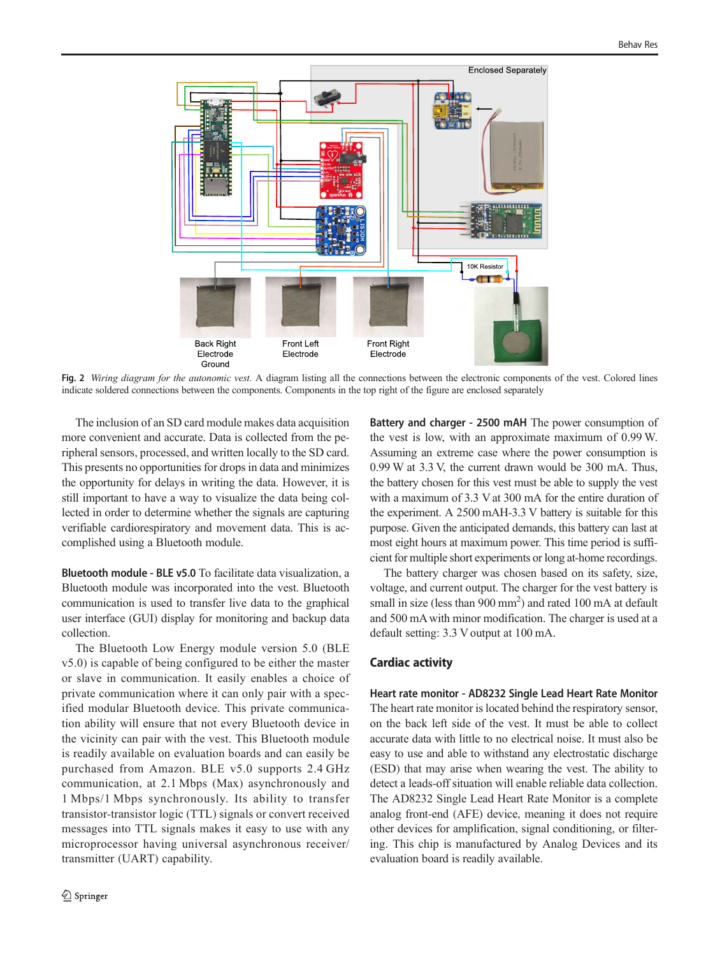<span id="page-5-0"></span>

Fig. 2 Wiring diagram for the autonomic vest. A diagram listing all the connections between the electronic components of the vest. Colored lines indicate soldered connections between the components. Components in the top right of the figure are enclosed separately

The inclusion of an SD card module makes data acquisition more convenient and accurate. Data is collected from the peripheral sensors, processed, and written locally to the SD card. This presents no opportunities for drops in data and minimizes the opportunity for delays in writing the data. However, it is still important to have a way to visualize the data being collected in order to determine whether the signals are capturing verifiable cardiorespiratory and movement data. This is accomplished using a Bluetooth module.

Bluetooth module - BLE v5.0 To facilitate data visualization, a Bluetooth module was incorporated into the vest. Bluetooth communication is used to transfer live data to the graphical user interface (GUI) display for monitoring and backup data collection.

The Bluetooth Low Energy module version 5.0 (BLE v5.0) is capable of being configured to be either the master or slave in communication. It easily enables a choice of private communication where it can only pair with a specified modular Bluetooth device. This private communication ability will ensure that not every Bluetooth device in the vicinity can pair with the vest. This Bluetooth module is readily available on evaluation boards and can easily be purchased from Amazon. BLE v5.0 supports 2.4 GHz communication, at 2.1 Mbps (Max) asynchronously and 1 Mbps/1 Mbps synchronously. Its ability to transfer transistor-transistor logic (TTL) signals or convert received messages into TTL signals makes it easy to use with any microprocessor having universal asynchronous receiver/ transmitter (UART) capability.

Battery and charger - 2500 mAH The power consumption of the vest is low, with an approximate maximum of 0.99 W. Assuming an extreme case where the power consumption is 0.99 W at 3.3 V, the current drawn would be 300 mA. Thus, the battery chosen for this vest must be able to supply the vest with a maximum of 3.3 V at 300 mA for the entire duration of the experiment. A 2500 mAH-3.3 V battery is suitable for this purpose. Given the anticipated demands, this battery can last at most eight hours at maximum power. This time period is sufficient for multiple short experiments or long at-home recordings.

The battery charger was chosen based on its safety, size, voltage, and current output. The charger for the vest battery is small in size (less than  $900 \text{ mm}^2$ ) and rated  $100 \text{ mA}$  at default and 500 mA with minor modification. The charger is used at a default setting: 3.3 V output at 100 mA.

## Cardiac activity

Heart rate monitor - AD8232 Single Lead Heart Rate Monitor The heart rate monitor is located behind the respiratory sensor, on the back left side of the vest. It must be able to collect accurate data with little to no electrical noise. It must also be easy to use and able to withstand any electrostatic discharge (ESD) that may arise when wearing the vest. The ability to detect a leads-off situation will enable reliable data collection. The AD8232 Single Lead Heart Rate Monitor is a complete analog front-end (AFE) device, meaning it does not require other devices for amplification, signal conditioning, or filtering. This chip is manufactured by Analog Devices and its evaluation board is readily available.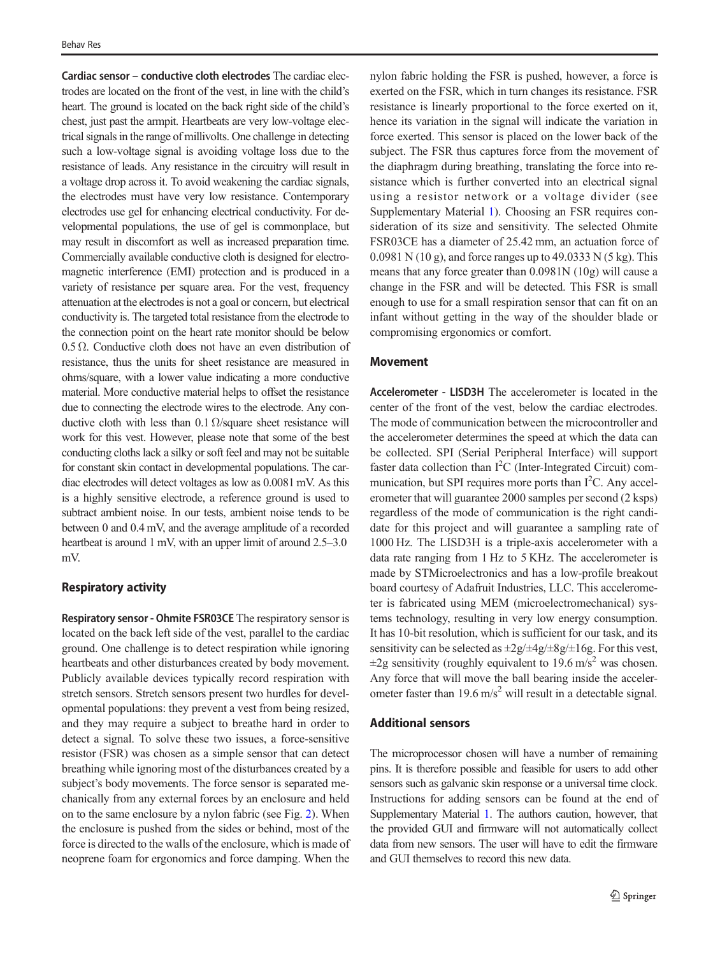Cardiac sensor – conductive cloth electrodes The cardiac electrodes are located on the front of the vest, in line with the child's heart. The ground is located on the back right side of the child's chest, just past the armpit. Heartbeats are very low-voltage electrical signals in the range of millivolts. One challenge in detecting such a low-voltage signal is avoiding voltage loss due to the resistance of leads. Any resistance in the circuitry will result in a voltage drop across it. To avoid weakening the cardiac signals, the electrodes must have very low resistance. Contemporary electrodes use gel for enhancing electrical conductivity. For developmental populations, the use of gel is commonplace, but may result in discomfort as well as increased preparation time. Commercially available conductive cloth is designed for electromagnetic interference (EMI) protection and is produced in a variety of resistance per square area. For the vest, frequency attenuation at the electrodes is not a goal or concern, but electrical conductivity is. The targeted total resistance from the electrode to the connection point on the heart rate monitor should be below  $0.5 \Omega$ . Conductive cloth does not have an even distribution of resistance, thus the units for sheet resistance are measured in ohms/square, with a lower value indicating a more conductive material. More conductive material helps to offset the resistance due to connecting the electrode wires to the electrode. Any conductive cloth with less than 0.1  $\Omega$ /square sheet resistance will work for this vest. However, please note that some of the best conducting cloths lack a silky or soft feel and may not be suitable for constant skin contact in developmental populations. The cardiac electrodes will detect voltages as low as 0.0081 mV. As this is a highly sensitive electrode, a reference ground is used to subtract ambient noise. In our tests, ambient noise tends to be between 0 and 0.4 mV, and the average amplitude of a recorded heartbeat is around 1 mV, with an upper limit of around 2.5–3.0 mV.

#### Respiratory activity

Respiratory sensor - Ohmite FSR03CE The respiratory sensor is located on the back left side of the vest, parallel to the cardiac ground. One challenge is to detect respiration while ignoring heartbeats and other disturbances created by body movement. Publicly available devices typically record respiration with stretch sensors. Stretch sensors present two hurdles for developmental populations: they prevent a vest from being resized, and they may require a subject to breathe hard in order to detect a signal. To solve these two issues, a force-sensitive resistor (FSR) was chosen as a simple sensor that can detect breathing while ignoring most of the disturbances created by a subject's body movements. The force sensor is separated mechanically from any external forces by an enclosure and held on to the same enclosure by a nylon fabric (see Fig. [2\)](#page-5-0). When the enclosure is pushed from the sides or behind, most of the force is directed to the walls of the enclosure, which is made of neoprene foam for ergonomics and force damping. When the

nylon fabric holding the FSR is pushed, however, a force is exerted on the FSR, which in turn changes its resistance. FSR resistance is linearly proportional to the force exerted on it, hence its variation in the signal will indicate the variation in force exerted. This sensor is placed on the lower back of the subject. The FSR thus captures force from the movement of the diaphragm during breathing, translating the force into resistance which is further converted into an electrical signal using a resistor network or a voltage divider (see Supplementary Material 1). Choosing an FSR requires consideration of its size and sensitivity. The selected Ohmite FSR03CE has a diameter of 25.42 mm, an actuation force of 0.0981 N (10 g), and force ranges up to 49.0333 N (5 kg). This means that any force greater than 0.0981N (10g) will cause a change in the FSR and will be detected. This FSR is small enough to use for a small respiration sensor that can fit on an infant without getting in the way of the shoulder blade or compromising ergonomics or comfort.

# Movement

Accelerometer - LISD3H The accelerometer is located in the center of the front of the vest, below the cardiac electrodes. The mode of communication between the microcontroller and the accelerometer determines the speed at which the data can be collected. SPI (Serial Peripheral Interface) will support faster data collection than  $I^2C$  (Inter-Integrated Circuit) communication, but SPI requires more ports than I<sup>2</sup>C. Any accelerometer that will guarantee 2000 samples per second (2 ksps) regardless of the mode of communication is the right candidate for this project and will guarantee a sampling rate of 1000 Hz. The LISD3H is a triple-axis accelerometer with a data rate ranging from 1 Hz to 5 KHz. The accelerometer is made by STMicroelectronics and has a low-profile breakout board courtesy of Adafruit Industries, LLC. This accelerometer is fabricated using MEM (microelectromechanical) systems technology, resulting in very low energy consumption. It has 10-bit resolution, which is sufficient for our task, and its sensitivity can be selected as  $\pm 2g/\pm 4g/\pm 8g/\pm 16g$ . For this vest,  $\pm 2$ g sensitivity (roughly equivalent to 19.6 m/s<sup>2</sup> was chosen. Any force that will move the ball bearing inside the accelerometer faster than 19.6 m/s<sup>2</sup> will result in a detectable signal.

#### Additional sensors

The microprocessor chosen will have a number of remaining pins. It is therefore possible and feasible for users to add other sensors such as galvanic skin response or a universal time clock. Instructions for adding sensors can be found at the end of Supplementary Material 1. The authors caution, however, that the provided GUI and firmware will not automatically collect data from new sensors. The user will have to edit the firmware and GUI themselves to record this new data.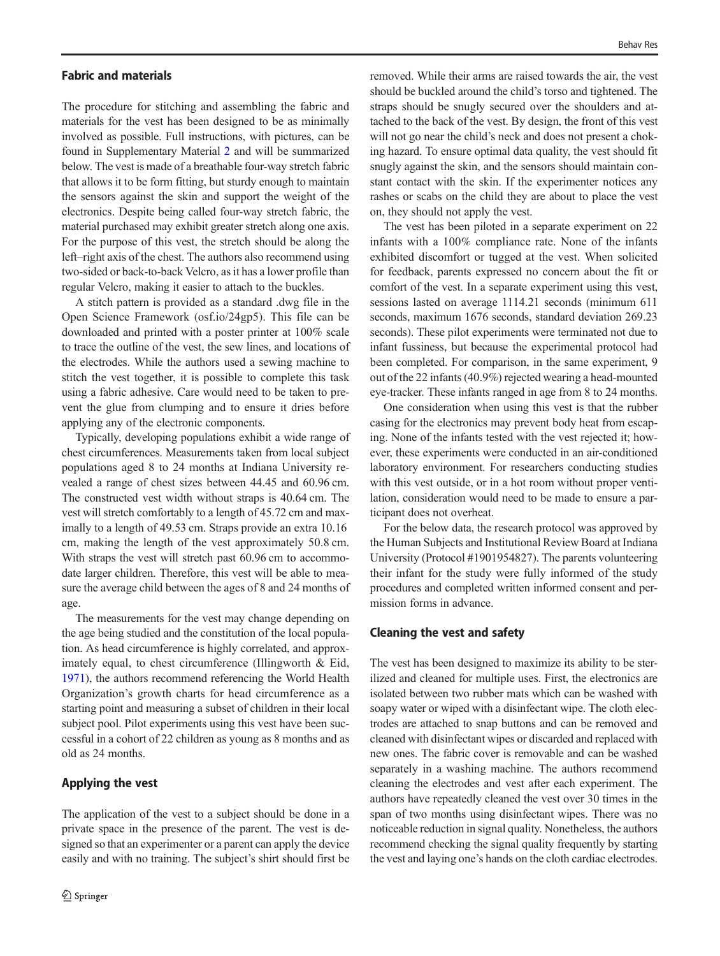### Fabric and materials

The procedure for stitching and assembling the fabric and materials for the vest has been designed to be as minimally involved as possible. Full instructions, with pictures, can be found in Supplementary Material 2 and will be summarized below. The vest is made of a breathable four-way stretch fabric that allows it to be form fitting, but sturdy enough to maintain the sensors against the skin and support the weight of the electronics. Despite being called four-way stretch fabric, the material purchased may exhibit greater stretch along one axis. For the purpose of this vest, the stretch should be along the left–right axis of the chest. The authors also recommend using two-sided or back-to-back Velcro, as it has a lower profile than regular Velcro, making it easier to attach to the buckles.

A stitch pattern is provided as a standard .dwg file in the Open Science Framework (osf.io/24gp5). This file can be downloaded and printed with a poster printer at 100% scale to trace the outline of the vest, the sew lines, and locations of the electrodes. While the authors used a sewing machine to stitch the vest together, it is possible to complete this task using a fabric adhesive. Care would need to be taken to prevent the glue from clumping and to ensure it dries before applying any of the electronic components.

Typically, developing populations exhibit a wide range of chest circumferences. Measurements taken from local subject populations aged 8 to 24 months at Indiana University revealed a range of chest sizes between 44.45 and 60.96 cm. The constructed vest width without straps is 40.64 cm. The vest will stretch comfortably to a length of 45.72 cm and maximally to a length of 49.53 cm. Straps provide an extra 10.16 cm, making the length of the vest approximately 50.8 cm. With straps the vest will stretch past 60.96 cm to accommodate larger children. Therefore, this vest will be able to measure the average child between the ages of 8 and 24 months of age.

The measurements for the vest may change depending on the age being studied and the constitution of the local population. As head circumference is highly correlated, and approximately equal, to chest circumference (Illingworth & Eid, [1971\)](#page-12-0), the authors recommend referencing the World Health Organization's growth charts for head circumference as a starting point and measuring a subset of children in their local subject pool. Pilot experiments using this vest have been successful in a cohort of 22 children as young as 8 months and as old as 24 months.

## Applying the vest

The application of the vest to a subject should be done in a private space in the presence of the parent. The vest is designed so that an experimenter or a parent can apply the device easily and with no training. The subject's shirt should first be

removed. While their arms are raised towards the air, the vest should be buckled around the child's torso and tightened. The straps should be snugly secured over the shoulders and attached to the back of the vest. By design, the front of this vest will not go near the child's neck and does not present a choking hazard. To ensure optimal data quality, the vest should fit snugly against the skin, and the sensors should maintain constant contact with the skin. If the experimenter notices any rashes or scabs on the child they are about to place the vest on, they should not apply the vest.

The vest has been piloted in a separate experiment on 22 infants with a 100% compliance rate. None of the infants exhibited discomfort or tugged at the vest. When solicited for feedback, parents expressed no concern about the fit or comfort of the vest. In a separate experiment using this vest, sessions lasted on average 1114.21 seconds (minimum 611 seconds, maximum 1676 seconds, standard deviation 269.23 seconds). These pilot experiments were terminated not due to infant fussiness, but because the experimental protocol had been completed. For comparison, in the same experiment, 9 out of the 22 infants (40.9%) rejected wearing a head-mounted eye-tracker. These infants ranged in age from 8 to 24 months.

One consideration when using this vest is that the rubber casing for the electronics may prevent body heat from escaping. None of the infants tested with the vest rejected it; however, these experiments were conducted in an air-conditioned laboratory environment. For researchers conducting studies with this vest outside, or in a hot room without proper ventilation, consideration would need to be made to ensure a participant does not overheat.

For the below data, the research protocol was approved by the Human Subjects and Institutional Review Board at Indiana University (Protocol #1901954827). The parents volunteering their infant for the study were fully informed of the study procedures and completed written informed consent and permission forms in advance.

## Cleaning the vest and safety

The vest has been designed to maximize its ability to be sterilized and cleaned for multiple uses. First, the electronics are isolated between two rubber mats which can be washed with soapy water or wiped with a disinfectant wipe. The cloth electrodes are attached to snap buttons and can be removed and cleaned with disinfectant wipes or discarded and replaced with new ones. The fabric cover is removable and can be washed separately in a washing machine. The authors recommend cleaning the electrodes and vest after each experiment. The authors have repeatedly cleaned the vest over 30 times in the span of two months using disinfectant wipes. There was no noticeable reduction in signal quality. Nonetheless, the authors recommend checking the signal quality frequently by starting the vest and laying one's hands on the cloth cardiac electrodes.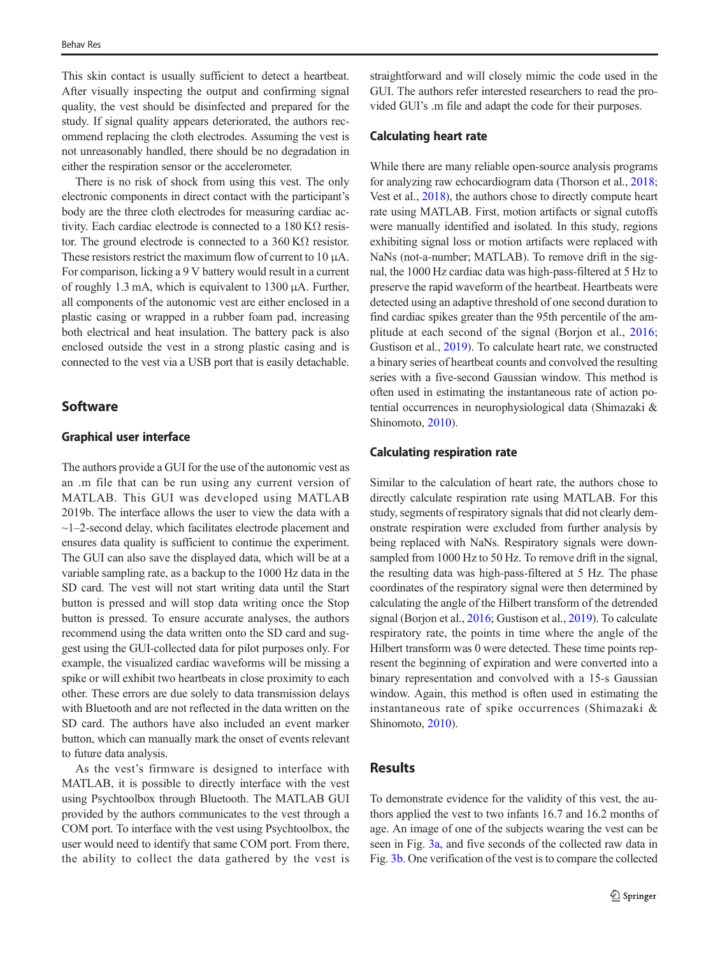This skin contact is usually sufficient to detect a heartbeat. After visually inspecting the output and confirming signal quality, the vest should be disinfected and prepared for the study. If signal quality appears deteriorated, the authors recommend replacing the cloth electrodes. Assuming the vest is not unreasonably handled, there should be no degradation in either the respiration sensor or the accelerometer.

There is no risk of shock from using this vest. The only electronic components in direct contact with the participant's body are the three cloth electrodes for measuring cardiac activity. Each cardiac electrode is connected to a  $180 \text{ K}\Omega$  resistor. The ground electrode is connected to a  $360 \text{ K}\Omega$  resistor. These resistors restrict the maximum flow of current to 10 μA. For comparison, licking a 9 V battery would result in a current of roughly 1.3 mA, which is equivalent to 1300  $\mu$ A. Further, all components of the autonomic vest are either enclosed in a plastic casing or wrapped in a rubber foam pad, increasing both electrical and heat insulation. The battery pack is also enclosed outside the vest in a strong plastic casing and is connected to the vest via a USB port that is easily detachable.

# **Software**

## Graphical user interface

The authors provide a GUI for the use of the autonomic vest as an .m file that can be run using any current version of MATLAB. This GUI was developed using MATLAB 2019b. The interface allows the user to view the data with a ~1–2-second delay, which facilitates electrode placement and ensures data quality is sufficient to continue the experiment. The GUI can also save the displayed data, which will be at a variable sampling rate, as a backup to the 1000 Hz data in the SD card. The vest will not start writing data until the Start button is pressed and will stop data writing once the Stop button is pressed. To ensure accurate analyses, the authors recommend using the data written onto the SD card and suggest using the GUI-collected data for pilot purposes only. For example, the visualized cardiac waveforms will be missing a spike or will exhibit two heartbeats in close proximity to each other. These errors are due solely to data transmission delays with Bluetooth and are not reflected in the data written on the SD card. The authors have also included an event marker button, which can manually mark the onset of events relevant to future data analysis.

As the vest's firmware is designed to interface with MATLAB, it is possible to directly interface with the vest using Psychtoolbox through Bluetooth. The MATLAB GUI provided by the authors communicates to the vest through a COM port. To interface with the vest using Psychtoolbox, the user would need to identify that same COM port. From there, the ability to collect the data gathered by the vest is

straightforward and will closely mimic the code used in the GUI. The authors refer interested researchers to read the provided GUI's .m file and adapt the code for their purposes.

## Calculating heart rate

While there are many reliable open-source analysis programs for analyzing raw echocardiogram data (Thorson et al., [2018;](#page-13-0) Vest et al., [2018\)](#page-13-0), the authors chose to directly compute heart rate using MATLAB. First, motion artifacts or signal cutoffs were manually identified and isolated. In this study, regions exhibiting signal loss or motion artifacts were replaced with NaNs (not-a-number; MATLAB). To remove drift in the signal, the 1000 Hz cardiac data was high-pass-filtered at 5 Hz to preserve the rapid waveform of the heartbeat. Heartbeats were detected using an adaptive threshold of one second duration to find cardiac spikes greater than the 95th percentile of the amplitude at each second of the signal (Borjon et al., [2016;](#page-11-0) Gustison et al., [2019\)](#page-12-0). To calculate heart rate, we constructed a binary series of heartbeat counts and convolved the resulting series with a five-second Gaussian window. This method is often used in estimating the instantaneous rate of action potential occurrences in neurophysiological data (Shimazaki & Shinomoto, [2010](#page-13-0)).

### Calculating respiration rate

Similar to the calculation of heart rate, the authors chose to directly calculate respiration rate using MATLAB. For this study, segments of respiratory signals that did not clearly demonstrate respiration were excluded from further analysis by being replaced with NaNs. Respiratory signals were downsampled from 1000 Hz to 50 Hz. To remove drift in the signal, the resulting data was high-pass-filtered at 5 Hz. The phase coordinates of the respiratory signal were then determined by calculating the angle of the Hilbert transform of the detrended signal (Borjon et al., [2016](#page-11-0); Gustison et al., [2019\)](#page-12-0). To calculate respiratory rate, the points in time where the angle of the Hilbert transform was 0 were detected. These time points represent the beginning of expiration and were converted into a binary representation and convolved with a 15-s Gaussian window. Again, this method is often used in estimating the instantaneous rate of spike occurrences (Shimazaki & Shinomoto, [2010](#page-13-0)).

# Results

To demonstrate evidence for the validity of this vest, the authors applied the vest to two infants 16.7 and 16.2 months of age. An image of one of the subjects wearing the vest can be seen in Fig. [3a,](#page-9-0) and five seconds of the collected raw data in Fig. [3b](#page-9-0). One verification of the vest is to compare the collected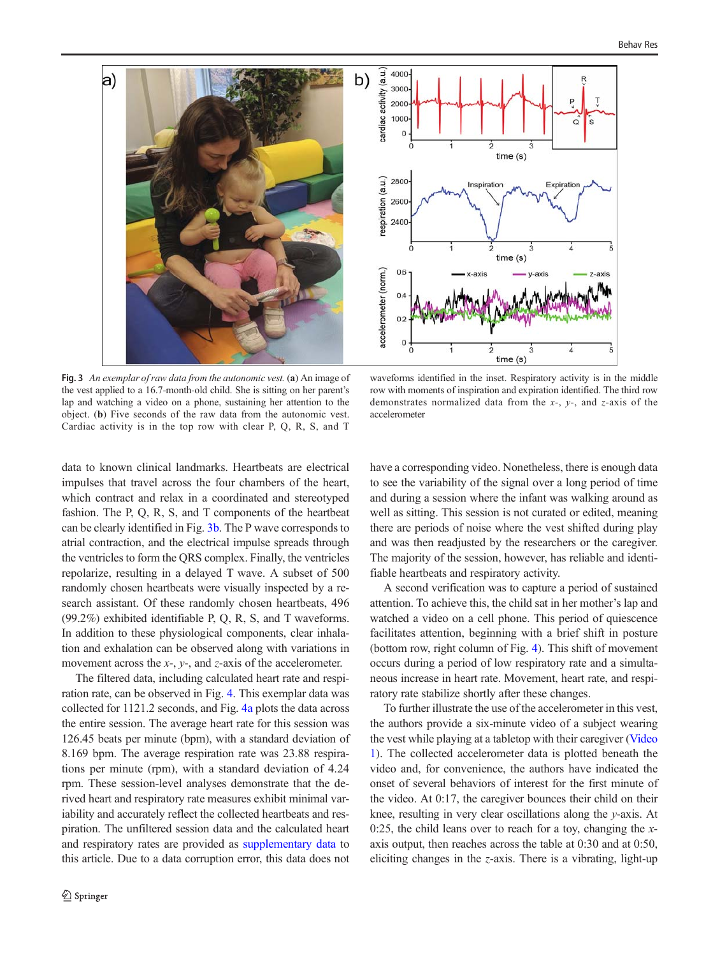<span id="page-9-0"></span>

Fig. 3 An exemplar of raw data from the autonomic vest. (a) An image of the vest applied to a 16.7-month-old child. She is sitting on her parent's lap and watching a video on a phone, sustaining her attention to the object. (b) Five seconds of the raw data from the autonomic vest. Cardiac activity is in the top row with clear P, Q, R, S, and T

waveforms identified in the inset. Respiratory activity is in the middle row with moments of inspiration and expiration identified. The third row demonstrates normalized data from the  $x$ -,  $y$ -, and  $z$ -axis of the accelerometer

data to known clinical landmarks. Heartbeats are electrical impulses that travel across the four chambers of the heart, which contract and relax in a coordinated and stereotyped fashion. The P, Q, R, S, and T components of the heartbeat can be clearly identified in Fig. 3b. The P wave corresponds to atrial contraction, and the electrical impulse spreads through the ventricles to form the QRS complex. Finally, the ventricles repolarize, resulting in a delayed T wave. A subset of 500 randomly chosen heartbeats were visually inspected by a research assistant. Of these randomly chosen heartbeats, 496 (99.2%) exhibited identifiable P, Q, R, S, and T waveforms. In addition to these physiological components, clear inhalation and exhalation can be observed along with variations in movement across the  $x$ -,  $y$ -, and  $z$ -axis of the accelerometer.

The filtered data, including calculated heart rate and respiration rate, can be observed in Fig. [4.](#page-10-0) This exemplar data was collected for 1121.2 seconds, and Fig. [4a](#page-10-0) plots the data across the entire session. The average heart rate for this session was 126.45 beats per minute (bpm), with a standard deviation of 8.169 bpm. The average respiration rate was 23.88 respirations per minute (rpm), with a standard deviation of 4.24 rpm. These session-level analyses demonstrate that the derived heart and respiratory rate measures exhibit minimal variability and accurately reflect the collected heartbeats and respiration. The unfiltered session data and the calculated heart and respiratory rates are provided as supplementary data to this article. Due to a data corruption error, this data does not have a corresponding video. Nonetheless, there is enough data to see the variability of the signal over a long period of time and during a session where the infant was walking around as well as sitting. This session is not curated or edited, meaning there are periods of noise where the vest shifted during play and was then readjusted by the researchers or the caregiver. The majority of the session, however, has reliable and identifiable heartbeats and respiratory activity.

A second verification was to capture a period of sustained attention. To achieve this, the child sat in her mother's lap and watched a video on a cell phone. This period of quiescence facilitates attention, beginning with a brief shift in posture (bottom row, right column of Fig. [4\)](#page-10-0). This shift of movement occurs during a period of low respiratory rate and a simultaneous increase in heart rate. Movement, heart rate, and respiratory rate stabilize shortly after these changes.

To further illustrate the use of the accelerometer in this vest, the authors provide a six-minute video of a subject wearing the vest while playing at a tabletop with their caregiver (Video 1). The collected accelerometer data is plotted beneath the video and, for convenience, the authors have indicated the onset of several behaviors of interest for the first minute of the video. At 0:17, the caregiver bounces their child on their knee, resulting in very clear oscillations along the y-axis. At 0:25, the child leans over to reach for a toy, changing the  $x$ axis output, then reaches across the table at 0:30 and at 0:50, eliciting changes in the z-axis. There is a vibrating, light-up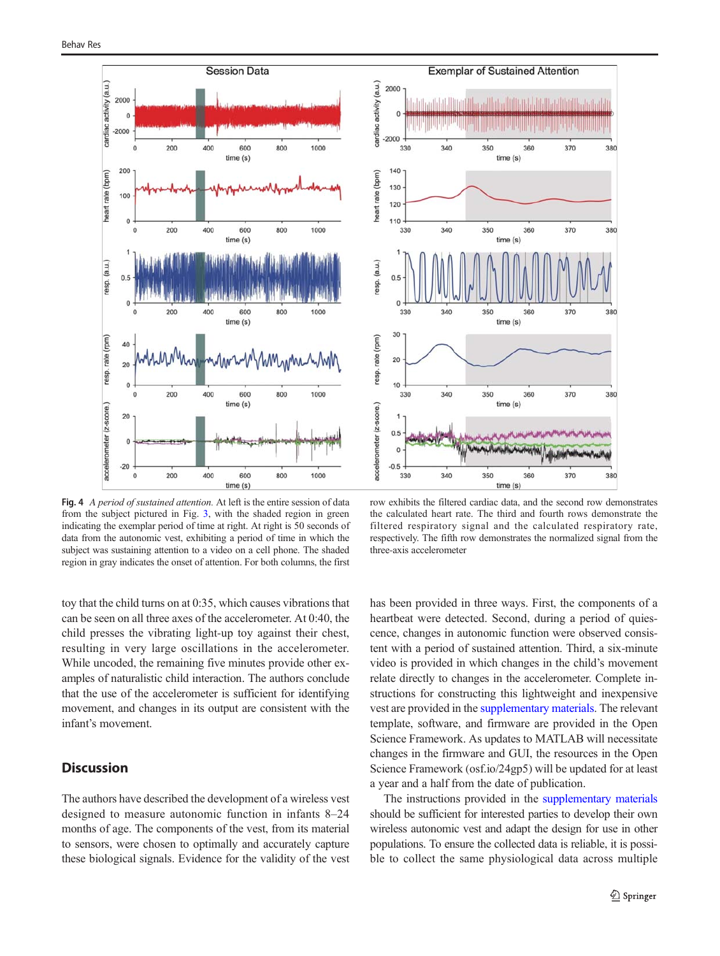<span id="page-10-0"></span>

Fig. 4 A period of sustained attention. At left is the entire session of data from the subject pictured in Fig. [3](#page-9-0), with the shaded region in green indicating the exemplar period of time at right. At right is 50 seconds of data from the autonomic vest, exhibiting a period of time in which the subject was sustaining attention to a video on a cell phone. The shaded region in gray indicates the onset of attention. For both columns, the first

toy that the child turns on at 0:35, which causes vibrations that can be seen on all three axes of the accelerometer. At 0:40, the child presses the vibrating light-up toy against their chest, resulting in very large oscillations in the accelerometer. While uncoded, the remaining five minutes provide other examples of naturalistic child interaction. The authors conclude that the use of the accelerometer is sufficient for identifying movement, and changes in its output are consistent with the infant's movement.

## **Discussion**

The authors have described the development of a wireless vest designed to measure autonomic function in infants 8–24 months of age. The components of the vest, from its material to sensors, were chosen to optimally and accurately capture these biological signals. Evidence for the validity of the vest



row exhibits the filtered cardiac data, and the second row demonstrates the calculated heart rate. The third and fourth rows demonstrate the filtered respiratory signal and the calculated respiratory rate, respectively. The fifth row demonstrates the normalized signal from the three-axis accelerometer

has been provided in three ways. First, the components of a heartbeat were detected. Second, during a period of quiescence, changes in autonomic function were observed consistent with a period of sustained attention. Third, a six-minute video is provided in which changes in the child's movement relate directly to changes in the accelerometer. Complete instructions for constructing this lightweight and inexpensive vest are provided in the supplementary materials. The relevant template, software, and firmware are provided in the Open Science Framework. As updates to MATLAB will necessitate changes in the firmware and GUI, the resources in the Open Science Framework (osf.io/24gp5) will be updated for at least a year and a half from the date of publication.

The instructions provided in the supplementary materials should be sufficient for interested parties to develop their own wireless autonomic vest and adapt the design for use in other populations. To ensure the collected data is reliable, it is possible to collect the same physiological data across multiple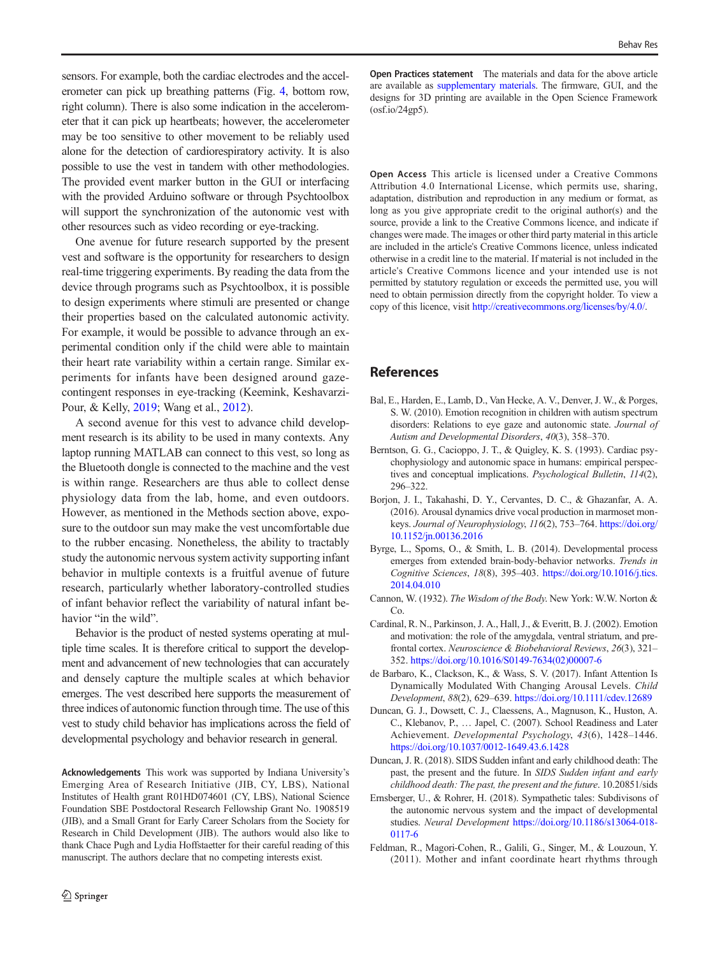<span id="page-11-0"></span>sensors. For example, both the cardiac electrodes and the accelerometer can pick up breathing patterns (Fig. [4](#page-10-0), bottom row, right column). There is also some indication in the accelerometer that it can pick up heartbeats; however, the accelerometer may be too sensitive to other movement to be reliably used alone for the detection of cardiorespiratory activity. It is also possible to use the vest in tandem with other methodologies. The provided event marker button in the GUI or interfacing with the provided Arduino software or through Psychtoolbox will support the synchronization of the autonomic vest with other resources such as video recording or eye-tracking.

One avenue for future research supported by the present vest and software is the opportunity for researchers to design real-time triggering experiments. By reading the data from the device through programs such as Psychtoolbox, it is possible to design experiments where stimuli are presented or change their properties based on the calculated autonomic activity. For example, it would be possible to advance through an experimental condition only if the child were able to maintain their heart rate variability within a certain range. Similar experiments for infants have been designed around gazecontingent responses in eye-tracking (Keemink, Keshavarzi-Pour, & Kelly, [2019;](#page-12-0) Wang et al., [2012\)](#page-13-0).

A second avenue for this vest to advance child development research is its ability to be used in many contexts. Any laptop running MATLAB can connect to this vest, so long as the Bluetooth dongle is connected to the machine and the vest is within range. Researchers are thus able to collect dense physiology data from the lab, home, and even outdoors. However, as mentioned in the Methods section above, exposure to the outdoor sun may make the vest uncomfortable due to the rubber encasing. Nonetheless, the ability to tractably study the autonomic nervous system activity supporting infant behavior in multiple contexts is a fruitful avenue of future research, particularly whether laboratory-controlled studies of infant behavior reflect the variability of natural infant behavior "in the wild".

Behavior is the product of nested systems operating at multiple time scales. It is therefore critical to support the development and advancement of new technologies that can accurately and densely capture the multiple scales at which behavior emerges. The vest described here supports the measurement of three indices of autonomic function through time. The use of this vest to study child behavior has implications across the field of developmental psychology and behavior research in general.

Acknowledgements This work was supported by Indiana University's Emerging Area of Research Initiative (JIB, CY, LBS), National Institutes of Health grant R01HD074601 (CY, LBS), National Science Foundation SBE Postdoctoral Research Fellowship Grant No. 1908519 (JIB), and a Small Grant for Early Career Scholars from the Society for Research in Child Development (JIB). The authors would also like to thank Chace Pugh and Lydia Hoffstaetter for their careful reading of this manuscript. The authors declare that no competing interests exist.

Open Practices statement The materials and data for the above article are available as supplementary materials. The firmware, GUI, and the designs for 3D printing are available in the Open Science Framework (osf.io/24gp5).

Open Access This article is licensed under a Creative Commons Attribution 4.0 International License, which permits use, sharing, adaptation, distribution and reproduction in any medium or format, as long as you give appropriate credit to the original author(s) and the source, provide a link to the Creative Commons licence, and indicate if changes were made. The images or other third party material in this article are included in the article's Creative Commons licence, unless indicated otherwise in a credit line to the material. If material is not included in the article's Creative Commons licence and your intended use is not permitted by statutory regulation or exceeds the permitted use, you will need to obtain permission directly from the copyright holder. To view a copy of this licence, visit [http://creativecommons.org/licenses/by/4.0/.](http://creativecommons.org/licenses/by/4.0/)

## References

- Bal, E., Harden, E., Lamb, D., Van Hecke, A. V., Denver, J. W., & Porges, S. W. (2010). Emotion recognition in children with autism spectrum disorders: Relations to eye gaze and autonomic state. Journal of Autism and Developmental Disorders, 40(3), 358–370.
- Berntson, G. G., Cacioppo, J. T., & Quigley, K. S. (1993). Cardiac psychophysiology and autonomic space in humans: empirical perspectives and conceptual implications. Psychological Bulletin, 114(2), 296–322.
- Borjon, J. I., Takahashi, D. Y., Cervantes, D. C., & Ghazanfar, A. A. (2016). Arousal dynamics drive vocal production in marmoset monkeys. Journal of Neurophysiology, 116(2), 753–764. [https://doi.org/](https://doi.org/10.1152/jn.00136.2016) [10.1152/jn.00136.2016](https://doi.org/10.1152/jn.00136.2016)
- Byrge, L., Sporns, O., & Smith, L. B. (2014). Developmental process emerges from extended brain-body-behavior networks. Trends in Cognitive Sciences, 18(8), 395–403. [https://doi.org/10.1016/j.tics.](https://doi.org/10.1016/j.tics.2014.04.010) [2014.04.010](https://doi.org/10.1016/j.tics.2014.04.010)
- Cannon, W. (1932). The Wisdom of the Body. New York: W.W. Norton & Co.
- Cardinal, R. N., Parkinson, J. A., Hall, J., & Everitt, B. J. (2002). Emotion and motivation: the role of the amygdala, ventral striatum, and prefrontal cortex. Neuroscience & Biobehavioral Reviews, 26(3), 321– 352. [https://doi.org/10.1016/S0149-7634\(02\)00007-6](https://doi.org/10.1016/S0149-7634(02)00007-6)
- de Barbaro, K., Clackson, K., & Wass, S. V. (2017). Infant Attention Is Dynamically Modulated With Changing Arousal Levels. Child Development, 88(2), 629–639. <https://doi.org/10.1111/cdev.12689>
- Duncan, G. J., Dowsett, C. J., Claessens, A., Magnuson, K., Huston, A. C., Klebanov, P., … Japel, C. (2007). School Readiness and Later Achievement. Developmental Psychology, 43(6), 1428–1446. <https://doi.org/10.1037/0012-1649.43.6.1428>
- Duncan, J. R. (2018). SIDS Sudden infant and early childhood death: The past, the present and the future. In SIDS Sudden infant and early childhood death: The past, the present and the future. 10.20851/sids
- Ernsberger, U., & Rohrer, H. (2018). Sympathetic tales: Subdivisons of the autonomic nervous system and the impact of developmental studies. Neural Development [https://doi.org/10.1186/s13064-018-](https://doi.org/10.1186/s13064-018-0117-6) [0117-6](https://doi.org/10.1186/s13064-018-0117-6)
- Feldman, R., Magori-Cohen, R., Galili, G., Singer, M., & Louzoun, Y. (2011). Mother and infant coordinate heart rhythms through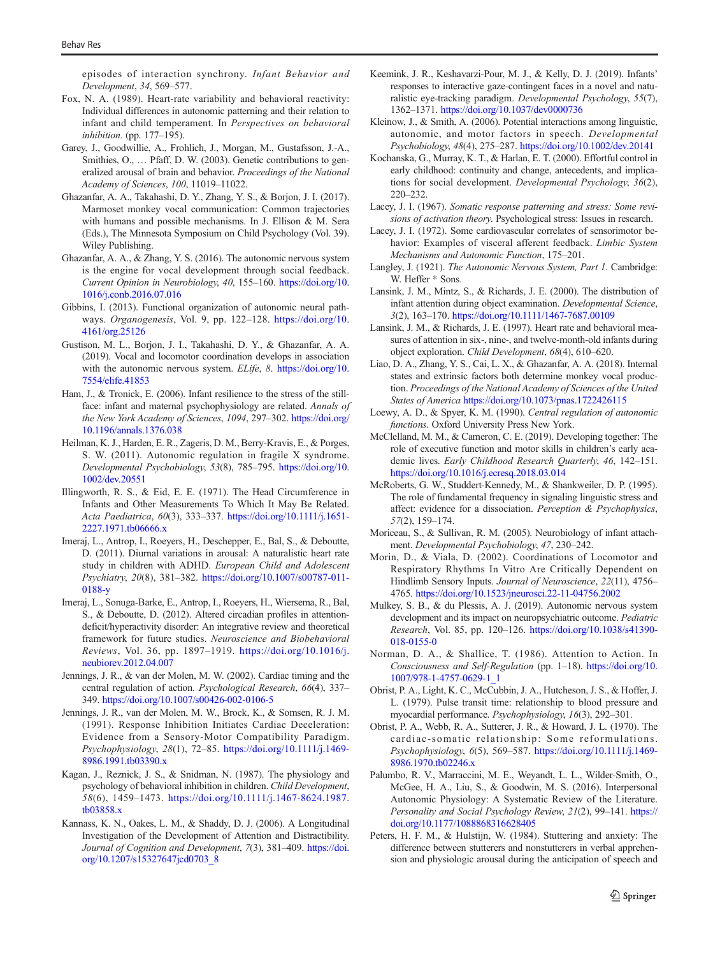<span id="page-12-0"></span>episodes of interaction synchrony. Infant Behavior and Development, 34, 569–577.

- Fox, N. A. (1989). Heart-rate variability and behavioral reactivity: Individual differences in autonomic patterning and their relation to infant and child temperament. In Perspectives on behavioral inhibition. (pp. 177–195).
- Garey, J., Goodwillie, A., Frohlich, J., Morgan, M., Gustafsson, J.-A., Smithies, O., … Pfaff, D. W. (2003). Genetic contributions to generalized arousal of brain and behavior. Proceedings of the National Academy of Sciences, 100, 11019–11022.
- Ghazanfar, A. A., Takahashi, D. Y., Zhang, Y. S., & Borjon, J. I. (2017). Marmoset monkey vocal communication: Common trajectories with humans and possible mechanisms. In J. Ellison & M. Sera (Eds.), The Minnesota Symposium on Child Psychology (Vol. 39). Wiley Publishing.
- Ghazanfar, A. A., & Zhang, Y. S. (2016). The autonomic nervous system is the engine for vocal development through social feedback. Current Opinion in Neurobiology, 40, 155–160. [https://doi.org/10.](https://doi.org/10.1016/j.conb.2016.07.016) [1016/j.conb.2016.07.016](https://doi.org/10.1016/j.conb.2016.07.016)
- Gibbins, I. (2013). Functional organization of autonomic neural pathways. Organogenesis, Vol. 9, pp. 122–128. [https://doi.org/10.](http://creativecommons.org/licenses/by/4.0/) [4161/org.25126](http://creativecommons.org/licenses/by/4.0/)
- Gustison, M. L., Borjon, J. I., Takahashi, D. Y., & Ghazanfar, A. A. (2019). Vocal and locomotor coordination develops in association with the autonomic nervous system. ELife, 8. [https://doi.org/10.](https://doi.org/10.7554/elife.41853) [7554/elife.41853](https://doi.org/10.7554/elife.41853)
- Ham, J., & Tronick, E. (2006). Infant resilience to the stress of the stillface: infant and maternal psychophysiology are related. Annals of the New York Academy of Sciences, 1094, 297–302. [https://doi.org/](https://doi.org/10.1196/annals.1376.038) [10.1196/annals.1376.038](https://doi.org/10.1196/annals.1376.038)
- Heilman, K. J., Harden, E. R., Zageris, D. M., Berry-Kravis, E., & Porges, S. W. (2011). Autonomic regulation in fragile X syndrome. Developmental Psychobiology, 53(8), 785–795. [https://doi.org/10.](https://doi.org/10.1002/dev.20551) [1002/dev.20551](https://doi.org/10.1002/dev.20551)
- Illingworth, R. S., & Eid, E. E. (1971). The Head Circumference in Infants and Other Measurements To Which It May Be Related. Acta Paediatrica, 60(3), 333–337. [https://doi.org/10.1111/j.1651-](https://doi.org/10.1111/j.1651-2227.1971.tb06666.x) [2227.1971.tb06666.x](https://doi.org/10.1111/j.1651-2227.1971.tb06666.x)
- Imeraj, L., Antrop, I., Roeyers, H., Deschepper, E., Bal, S., & Deboutte, D. (2011). Diurnal variations in arousal: A naturalistic heart rate study in children with ADHD. European Child and Adolescent Psychiatry, 20(8), 381–382. [https://doi.org/10.1007/s00787-011-](https://doi.org/10.1007/s00787-011-0188-y) [0188-y](https://doi.org/10.1007/s00787-011-0188-y)
- Imeraj, L., Sonuga-Barke, E., Antrop, I., Roeyers, H., Wiersema, R., Bal, S., & Deboutte, D. (2012). Altered circadian profiles in attentiondeficit/hyperactivity disorder: An integrative review and theoretical framework for future studies. Neuroscience and Biobehavioral Reviews, Vol. 36, pp. 1897–1919. [https://doi.org/10.1016/j.](https://doi.org/10.1016/j.neubiorev.2012.04.007) [neubiorev.2012.04.007](https://doi.org/10.1016/j.neubiorev.2012.04.007)
- Jennings, J. R., & van der Molen, M. W. (2002). Cardiac timing and the central regulation of action. Psychological Research, 66(4), 337– 349. <https://doi.org/10.1007/s00426-002-0106-5>
- Jennings, J. R., van der Molen, M. W., Brock, K., & Somsen, R. J. M. (1991). Response Inhibition Initiates Cardiac Deceleration: Evidence from a Sensory-Motor Compatibility Paradigm. Psychophysiology, 28(1), 72–85. [https://doi.org/10.1111/j.1469-](https://doi.org/10.1111/j.1469-8986.1991.tb03390.x) [8986.1991.tb03390.x](https://doi.org/10.1111/j.1469-8986.1991.tb03390.x)
- Kagan, J., Reznick, J. S., & Snidman, N. (1987). The physiology and psychology of behavioral inhibition in children. Child Development, 58(6), 1459–1473. [https://doi.org/10.1111/j.1467-8624.1987.](https://doi.org/10.1111/j.1467-8624.1987.tb03858.x) [tb03858.x](https://doi.org/10.1111/j.1467-8624.1987.tb03858.x)
- Kannass, K. N., Oakes, L. M., & Shaddy, D. J. (2006). A Longitudinal Investigation of the Development of Attention and Distractibility. Journal of Cognition and Development, 7(3), 381-409. [https://doi.](https://doi.org/10.1207/s15327647jcd0703_8) [org/10.1207/s15327647jcd0703\\_8](https://doi.org/10.1207/s15327647jcd0703_8)
- Keemink, J. R., Keshavarzi-Pour, M. J., & Kelly, D. J. (2019). Infants' responses to interactive gaze-contingent faces in a novel and naturalistic eye-tracking paradigm. Developmental Psychology, 55(7), 1362–1371. <https://doi.org/10.1037/dev0000736>
- Kleinow, J., & Smith, A. (2006). Potential interactions among linguistic, autonomic, and motor factors in speech. Developmental Psychobiology, 48(4), 275–287. <https://doi.org/10.1002/dev.20141>
- Kochanska, G., Murray, K. T., & Harlan, E. T. (2000). Effortful control in early childhood: continuity and change, antecedents, and implications for social development. Developmental Psychology, 36(2), 220–232.
- Lacey, J. I. (1967). Somatic response patterning and stress: Some revisions of activation theory. Psychological stress: Issues in research.
- Lacey, J. I. (1972). Some cardiovascular correlates of sensorimotor behavior: Examples of visceral afferent feedback. Limbic System Mechanisms and Autonomic Function, 175–201.
- Langley, J. (1921). The Autonomic Nervous System, Part 1. Cambridge: W. Heffer \* Sons.
- Lansink, J. M., Mintz, S., & Richards, J. E. (2000). The distribution of infant attention during object examination. Developmental Science, 3(2), 163–170. <https://doi.org/10.1111/1467-7687.00109>
- Lansink, J. M., & Richards, J. E. (1997). Heart rate and behavioral measures of attention in six-, nine-, and twelve-month-old infants during object exploration. Child Development, 68(4), 610–620.
- Liao, D. A., Zhang, Y. S., Cai, L. X., & Ghazanfar, A. A. (2018). Internal states and extrinsic factors both determine monkey vocal production. Proceedings of the National Academy of Sciences of the United States of America <https://doi.org/10.1073/pnas.1722426115>
- Loewy, A. D., & Spyer, K. M. (1990). Central regulation of autonomic functions. Oxford University Press New York.
- McClelland, M. M., & Cameron, C. E. (2019). Developing together: The role of executive function and motor skills in children's early academic lives. Early Childhood Research Quarterly, 46, 142-151. <https://doi.org/10.1016/j.ecresq.2018.03.014>
- McRoberts, G. W., Studdert-Kennedy, M., & Shankweiler, D. P. (1995). The role of fundamental frequency in signaling linguistic stress and affect: evidence for a dissociation. Perception & Psychophysics, 57(2), 159–174.
- Moriceau, S., & Sullivan, R. M. (2005). Neurobiology of infant attachment. Developmental Psychobiology, 47, 230–242.
- Morin, D., & Viala, D. (2002). Coordinations of Locomotor and Respiratory Rhythms In Vitro Are Critically Dependent on Hindlimb Sensory Inputs. Journal of Neuroscience, 22(11), 4756– 4765. <https://doi.org/10.1523/jneurosci.22-11-04756.2002>
- Mulkey, S. B., & du Plessis, A. J. (2019). Autonomic nervous system development and its impact on neuropsychiatric outcome. Pediatric Research, Vol. 85, pp. 120–126. [https://doi.org/10.1038/s41390-](https://doi.org/10.1038/s41390-018-0155-0) [018-0155-0](https://doi.org/10.1038/s41390-018-0155-0)
- Norman, D. A., & Shallice, T. (1986). Attention to Action. In Consciousness and Self-Regulation (pp. 1–18). [https://doi.org/10.](https://doi.org/10.1007/978-1-4757-0629-1_1) [1007/978-1-4757-0629-1\\_1](https://doi.org/10.1007/978-1-4757-0629-1_1)
- Obrist, P. A., Light, K. C., McCubbin, J. A., Hutcheson, J. S., & Hoffer, J. L. (1979). Pulse transit time: relationship to blood pressure and myocardial performance. Psychophysiology, 16(3), 292–301.
- Obrist, P. A., Webb, R. A., Sutterer, J. R., & Howard, J. L. (1970). The cardiac-somatic relationship: Some reformulations. Psychophysiology, 6(5), 569–587. [https://doi.org/10.1111/j.1469-](https://doi.org/10.1111/j.1469-8986.1970.tb02246.x) [8986.1970.tb02246.x](https://doi.org/10.1111/j.1469-8986.1970.tb02246.x)
- Palumbo, R. V., Marraccini, M. E., Weyandt, L. L., Wilder-Smith, O., McGee, H. A., Liu, S., & Goodwin, M. S. (2016). Interpersonal Autonomic Physiology: A Systematic Review of the Literature. Personality and Social Psychology Review, 21(2), 99-141. [https://](https://doi.org/10.1177/1088868316628405) [doi.org/10.1177/1088868316628405](https://doi.org/10.1177/1088868316628405)
- Peters, H. F. M., & Hulstijn, W. (1984). Stuttering and anxiety: The difference between stutterers and nonstutterers in verbal apprehension and physiologic arousal during the anticipation of speech and